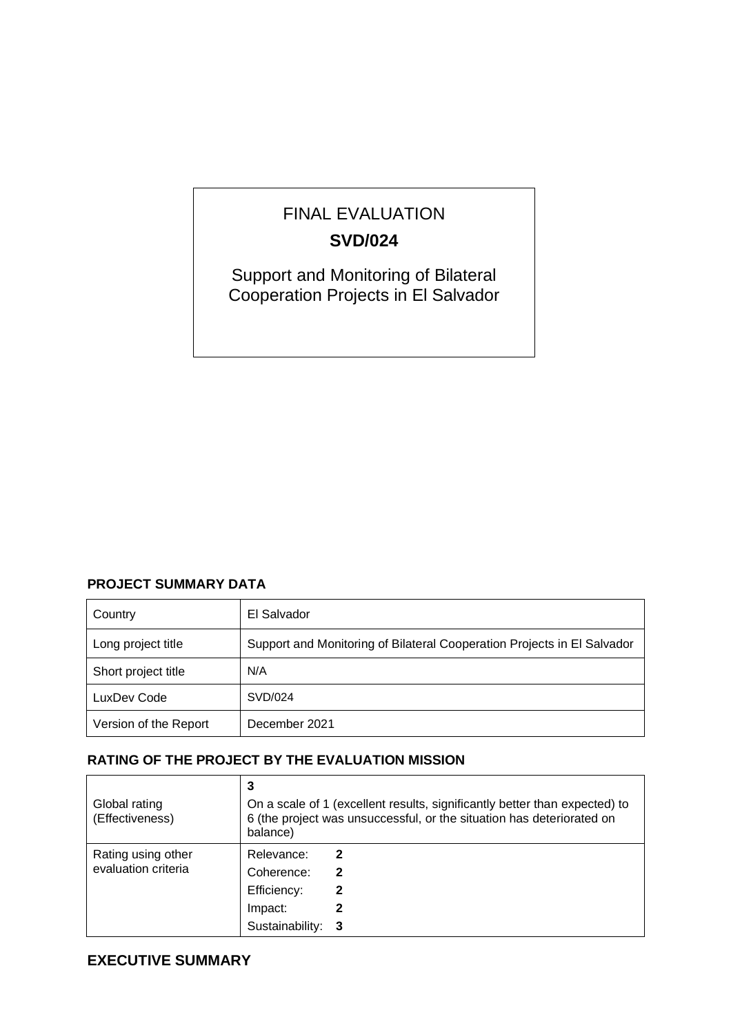# FINAL EVALUATION **SVD/024**

Support and Monitoring of Bilateral Cooperation Projects in El Salvador

# **PROJECT SUMMARY DATA**

| Country               | El Salvador                                                             |
|-----------------------|-------------------------------------------------------------------------|
| Long project title    | Support and Monitoring of Bilateral Cooperation Projects in El Salvador |
| Short project title   | N/A                                                                     |
| LuxDev Code           | SVD/024                                                                 |
| Version of the Report | December 2021                                                           |

# **RATING OF THE PROJECT BY THE EVALUATION MISSION**

| Global rating<br>(Effectiveness)          | 3<br>On a scale of 1 (excellent results, significantly better than expected) to<br>6 (the project was unsuccessful, or the situation has deteriorated on<br>balance) |  |  |
|-------------------------------------------|----------------------------------------------------------------------------------------------------------------------------------------------------------------------|--|--|
| Rating using other<br>evaluation criteria | Relevance:<br>2<br>Coherence:<br>$\mathbf{2}$<br>Efficiency:<br>2<br>Impact:<br>Sustainability:<br>- 3                                                               |  |  |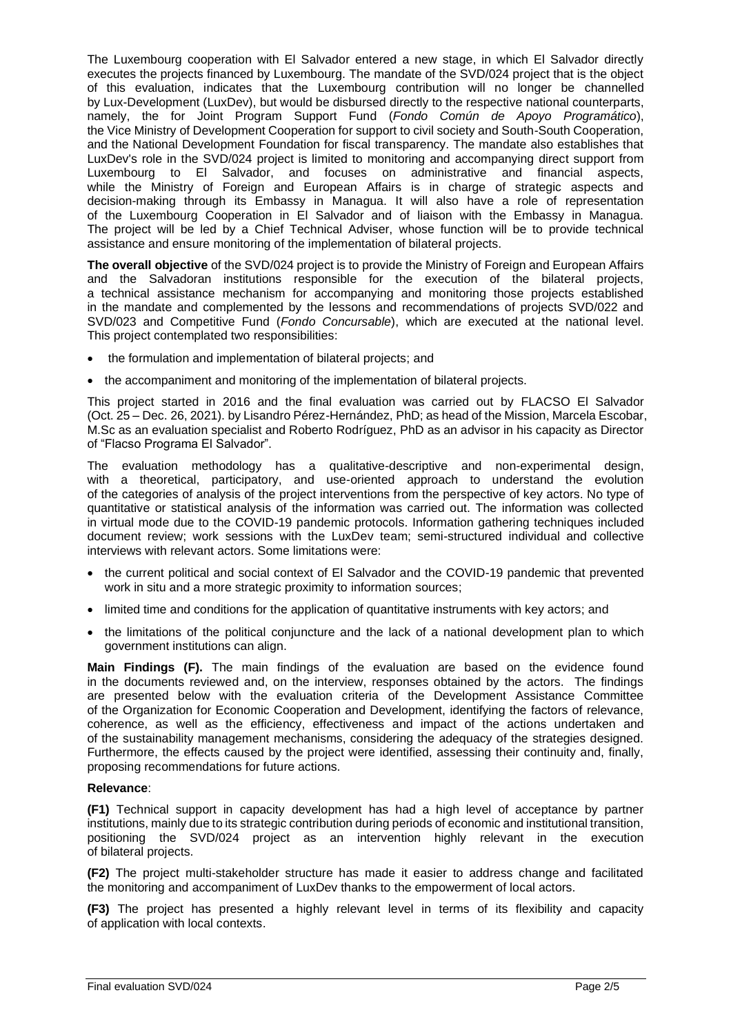The Luxembourg cooperation with El Salvador entered a new stage, in which El Salvador directly executes the projects financed by Luxembourg. The mandate of the SVD/024 project that is the object of this evaluation, indicates that the Luxembourg contribution will no longer be channelled by Lux-Development (LuxDev), but would be disbursed directly to the respective national counterparts, namely, the for Joint Program Support Fund (*Fondo Común de Apoyo Programático*), the Vice Ministry of Development Cooperation for support to civil society and South-South Cooperation, and the National Development Foundation for fiscal transparency. The mandate also establishes that LuxDev's role in the SVD/024 project is limited to monitoring and accompanying direct support from Luxembourg to El Salvador, and focuses on administrative and financial aspects, while the Ministry of Foreign and European Affairs is in charge of strategic aspects and decision-making through its Embassy in Managua. It will also have a role of representation of the Luxembourg Cooperation in El Salvador and of liaison with the Embassy in Managua. The project will be led by a Chief Technical Adviser, whose function will be to provide technical assistance and ensure monitoring of the implementation of bilateral projects.

**The overall objective** of the SVD/024 project is to provide the Ministry of Foreign and European Affairs and the Salvadoran institutions responsible for the execution of the bilateral projects, a technical assistance mechanism for accompanying and monitoring those projects established in the mandate and complemented by the lessons and recommendations of projects SVD/022 and SVD/023 and Competitive Fund (*Fondo Concursable*), which are executed at the national level. This project contemplated two responsibilities:

- the formulation and implementation of bilateral projects; and
- the accompaniment and monitoring of the implementation of bilateral projects.

This project started in 2016 and the final evaluation was carried out by FLACSO El Salvador (Oct. 25 – Dec. 26, 2021). by Lisandro Pérez-Hernández, PhD; as head of the Mission, Marcela Escobar, M.Sc as an evaluation specialist and Roberto Rodríguez, PhD as an advisor in his capacity as Director of "Flacso Programa El Salvador".

The evaluation methodology has a qualitative-descriptive and non-experimental design, with a theoretical, participatory, and use-oriented approach to understand the evolution of the categories of analysis of the project interventions from the perspective of key actors. No type of quantitative or statistical analysis of the information was carried out. The information was collected in virtual mode due to the COVID-19 pandemic protocols. Information gathering techniques included document review; work sessions with the LuxDev team; semi-structured individual and collective interviews with relevant actors. Some limitations were:

- the current political and social context of El Salvador and the COVID-19 pandemic that prevented work in situ and a more strategic proximity to information sources;
- limited time and conditions for the application of quantitative instruments with key actors; and
- the limitations of the political conjuncture and the lack of a national development plan to which government institutions can align.

**Main Findings (F).** The main findings of the evaluation are based on the evidence found in the documents reviewed and, on the interview, responses obtained by the actors. The findings are presented below with the evaluation criteria of the Development Assistance Committee of the Organization for Economic Cooperation and Development, identifying the factors of relevance, coherence, as well as the efficiency, effectiveness and impact of the actions undertaken and of the sustainability management mechanisms, considering the adequacy of the strategies designed. Furthermore, the effects caused by the project were identified, assessing their continuity and, finally, proposing recommendations for future actions.

## **Relevance**:

**(F1)** Technical support in capacity development has had a high level of acceptance by partner institutions, mainly due to its strategic contribution during periods of economic and institutional transition, positioning the SVD/024 project as an intervention highly relevant in the execution of bilateral projects.

**(F2)** The project multi-stakeholder structure has made it easier to address change and facilitated the monitoring and accompaniment of LuxDev thanks to the empowerment of local actors.

**(F3)** The project has presented a highly relevant level in terms of its flexibility and capacity of application with local contexts.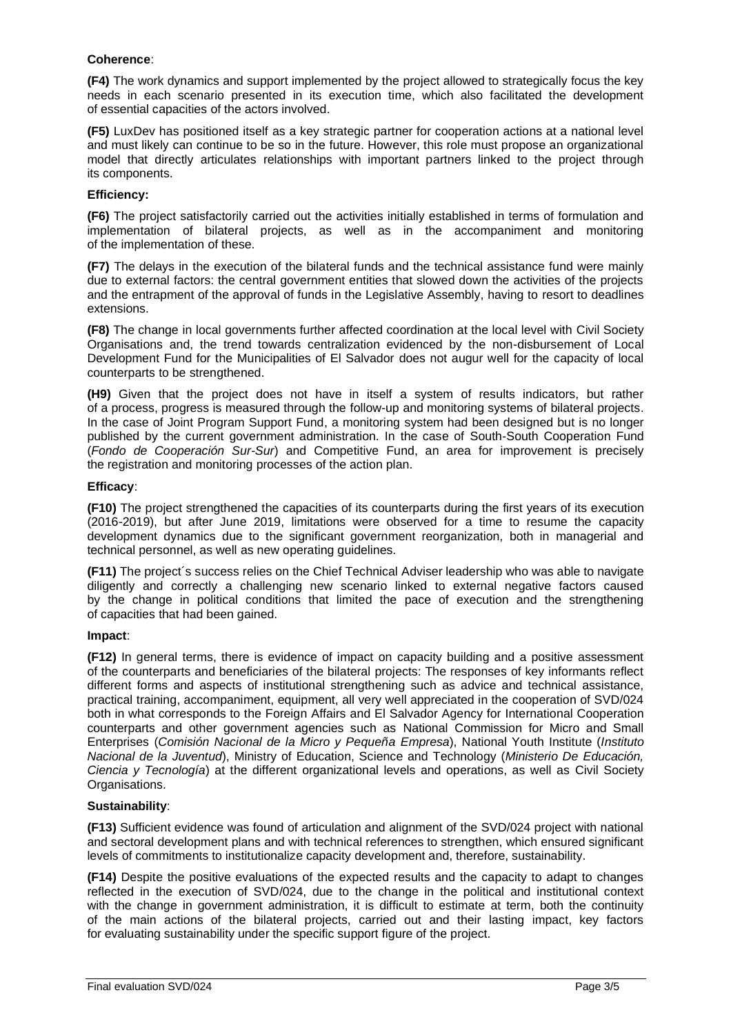#### **Coherence**:

**(F4)** The work dynamics and support implemented by the project allowed to strategically focus the key needs in each scenario presented in its execution time, which also facilitated the development of essential capacities of the actors involved.

**(F5)** LuxDev has positioned itself as a key strategic partner for cooperation actions at a national level and must likely can continue to be so in the future. However, this role must propose an organizational model that directly articulates relationships with important partners linked to the project through its components.

#### **Efficiency:**

**(F6)** The project satisfactorily carried out the activities initially established in terms of formulation and implementation of bilateral projects, as well as in the accompaniment and monitoring of the implementation of these.

**(F7)** The delays in the execution of the bilateral funds and the technical assistance fund were mainly due to external factors: the central government entities that slowed down the activities of the projects and the entrapment of the approval of funds in the Legislative Assembly, having to resort to deadlines extensions.

**(F8)** The change in local governments further affected coordination at the local level with Civil Society Organisations and, the trend towards centralization evidenced by the non-disbursement of Local Development Fund for the Municipalities of El Salvador does not augur well for the capacity of local counterparts to be strengthened.

**(H9)** Given that the project does not have in itself a system of results indicators, but rather of a process, progress is measured through the follow-up and monitoring systems of bilateral projects. In the case of Joint Program Support Fund, a monitoring system had been designed but is no longer published by the current government administration. In the case of South-South Cooperation Fund (*Fondo de Cooperación Sur-Sur*) and Competitive Fund, an area for improvement is precisely the registration and monitoring processes of the action plan.

#### **Efficacy**:

**(F10)** The project strengthened the capacities of its counterparts during the first years of its execution (2016-2019), but after June 2019, limitations were observed for a time to resume the capacity development dynamics due to the significant government reorganization, both in managerial and technical personnel, as well as new operating guidelines.

**(F11)** The project´s success relies on the Chief Technical Adviser leadership who was able to navigate diligently and correctly a challenging new scenario linked to external negative factors caused by the change in political conditions that limited the pace of execution and the strengthening of capacities that had been gained.

#### **Impact**:

**(F12)** In general terms, there is evidence of impact on capacity building and a positive assessment of the counterparts and beneficiaries of the bilateral projects: The responses of key informants reflect different forms and aspects of institutional strengthening such as advice and technical assistance, practical training, accompaniment, equipment, all very well appreciated in the cooperation of SVD/024 both in what corresponds to the Foreign Affairs and El Salvador Agency for International Cooperation counterparts and other government agencies such as National Commission for Micro and Small Enterprises (*Comisión Nacional de la Micro y Pequeña Empresa*), National Youth Institute (*Instituto Nacional de la Juventud*), Ministry of Education, Science and Technology (*Ministerio De Educación, Ciencia y Tecnología*) at the different organizational levels and operations, as well as Civil Society Organisations.

## **Sustainability**:

**(F13)** Sufficient evidence was found of articulation and alignment of the SVD/024 project with national and sectoral development plans and with technical references to strengthen, which ensured significant levels of commitments to institutionalize capacity development and, therefore, sustainability.

**(F14)** Despite the positive evaluations of the expected results and the capacity to adapt to changes reflected in the execution of SVD/024, due to the change in the political and institutional context with the change in government administration, it is difficult to estimate at term, both the continuity of the main actions of the bilateral projects, carried out and their lasting impact, key factors for evaluating sustainability under the specific support figure of the project.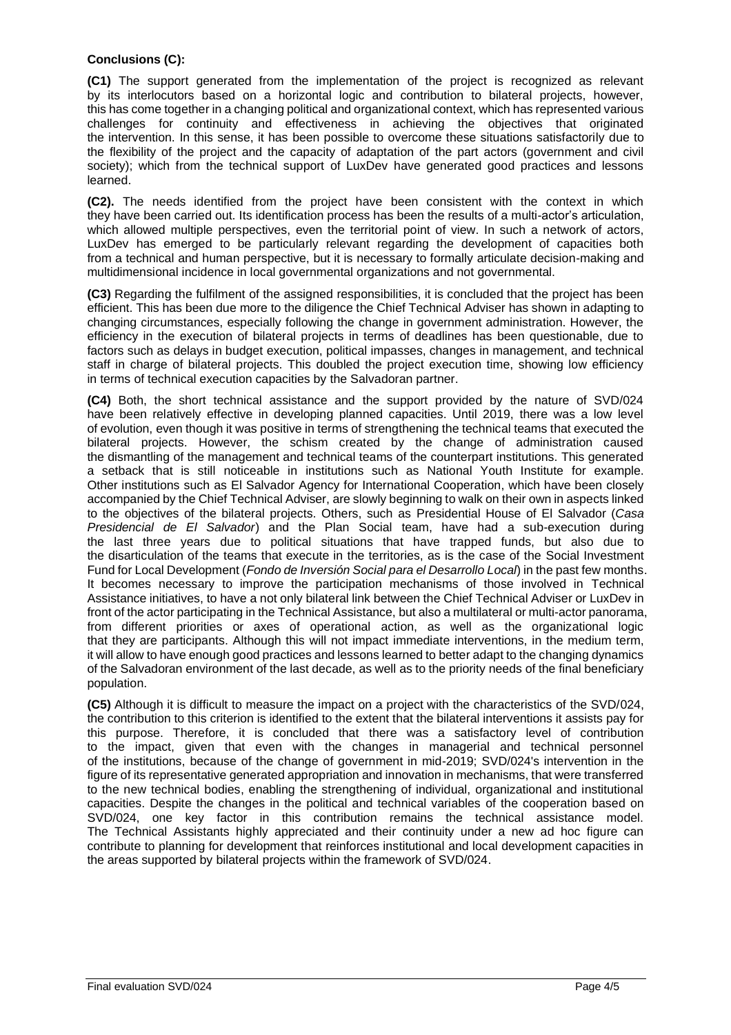## **Conclusions (C):**

**(C1)** The support generated from the implementation of the project is recognized as relevant by its interlocutors based on a horizontal logic and contribution to bilateral projects, however, this has come together in a changing political and organizational context, which has represented various challenges for continuity and effectiveness in achieving the objectives that originated the intervention. In this sense, it has been possible to overcome these situations satisfactorily due to the flexibility of the project and the capacity of adaptation of the part actors (government and civil society); which from the technical support of LuxDev have generated good practices and lessons learned.

**(C2).** The needs identified from the project have been consistent with the context in which they have been carried out. Its identification process has been the results of a multi-actor's articulation, which allowed multiple perspectives, even the territorial point of view. In such a network of actors, LuxDev has emerged to be particularly relevant regarding the development of capacities both from a technical and human perspective, but it is necessary to formally articulate decision-making and multidimensional incidence in local governmental organizations and not governmental.

**(C3)** Regarding the fulfilment of the assigned responsibilities, it is concluded that the project has been efficient. This has been due more to the diligence the Chief Technical Adviser has shown in adapting to changing circumstances, especially following the change in government administration. However, the efficiency in the execution of bilateral projects in terms of deadlines has been questionable, due to factors such as delays in budget execution, political impasses, changes in management, and technical staff in charge of bilateral projects. This doubled the project execution time, showing low efficiency in terms of technical execution capacities by the Salvadoran partner.

**(C4)** Both, the short technical assistance and the support provided by the nature of SVD/024 have been relatively effective in developing planned capacities. Until 2019, there was a low level of evolution, even though it was positive in terms of strengthening the technical teams that executed the bilateral projects. However, the schism created by the change of administration caused the dismantling of the management and technical teams of the counterpart institutions. This generated a setback that is still noticeable in institutions such as National Youth Institute for example. Other institutions such as El Salvador Agency for International Cooperation, which have been closely accompanied by the Chief Technical Adviser, are slowly beginning to walk on their own in aspects linked to the objectives of the bilateral projects. Others, such as Presidential House of El Salvador (*Casa Presidencial de El Salvador*) and the Plan Social team, have had a sub-execution during the last three years due to political situations that have trapped funds, but also due to the disarticulation of the teams that execute in the territories, as is the case of the Social Investment Fund for Local Development (*Fondo de Inversión Social para el Desarrollo Local*) in the past few months. It becomes necessary to improve the participation mechanisms of those involved in Technical Assistance initiatives, to have a not only bilateral link between the Chief Technical Adviser or LuxDev in front of the actor participating in the Technical Assistance, but also a multilateral or multi-actor panorama, from different priorities or axes of operational action, as well as the organizational logic that they are participants. Although this will not impact immediate interventions, in the medium term, it will allow to have enough good practices and lessons learned to better adapt to the changing dynamics of the Salvadoran environment of the last decade, as well as to the priority needs of the final beneficiary population.

**(C5)** Although it is difficult to measure the impact on a project with the characteristics of the SVD/024, the contribution to this criterion is identified to the extent that the bilateral interventions it assists pay for this purpose. Therefore, it is concluded that there was a satisfactory level of contribution to the impact, given that even with the changes in managerial and technical personnel of the institutions, because of the change of government in mid-2019; SVD/024's intervention in the figure of its representative generated appropriation and innovation in mechanisms, that were transferred to the new technical bodies, enabling the strengthening of individual, organizational and institutional capacities. Despite the changes in the political and technical variables of the cooperation based on SVD/024, one key factor in this contribution remains the technical assistance model. The Technical Assistants highly appreciated and their continuity under a new ad hoc figure can contribute to planning for development that reinforces institutional and local development capacities in the areas supported by bilateral projects within the framework of SVD/024.